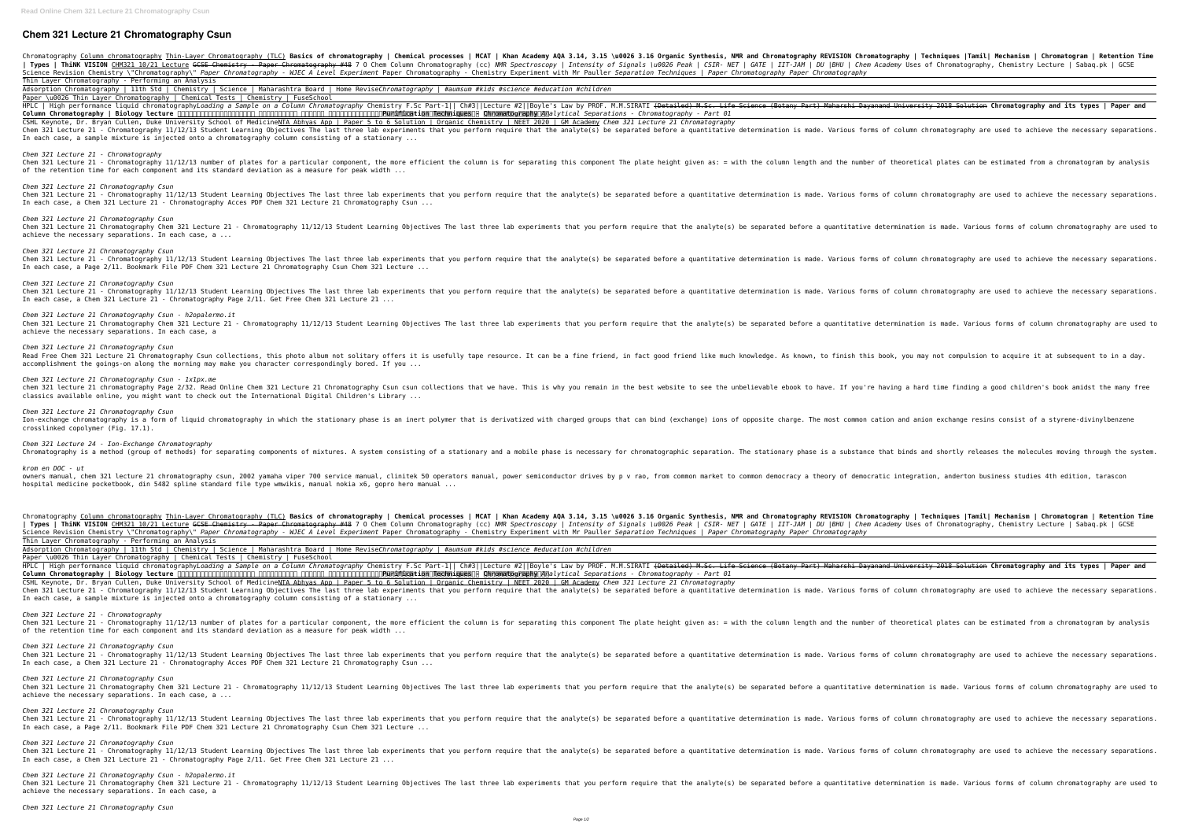## **Chem 321 Lecture 21 Chromatography Csun**

Chromatography Column chromatography Thin-Layer Chromatography (TLC) **Basics of chromatography | Chemical processes | MCAT | Khan Academy AQA 3.14, 3.15 \u0026 3.16 Organic Synthesis, NMR and Chromatography REVISION Chroma** | Types | ThiNK VISION <u>CHM321 10/21 Lecture</u> <del>GCSE Chemistry - Paper Chromatography #48</del> 7 0 Chem Column Chromatography (cc) NMR Spectroscopy | *Intensity of Signals \u0026 Peak | CSIR- NET | GATE | IIT-JAM | DU |BHU | Ch* Science Revision Chemistry \"Chromatography\" Paper Chromatography - WJEC A Level Experiment Paper Chromatography - Chemistry Experiment with Mr Pauller Separation Techniques | Paper Chromatography Paper Chromatography Thin Layer Chromatography - Performing an Analysis

Adsorption Chromatography | 11th Std | Chemistry | Science | Maharashtra Board | Home Revise*Chromatography | #aumsum #kids #science #education #children* Paper \u0026 Thin Layer Chromatography | Chemical Tests | Chemistry | FuseSchool

HPLC | High performance liguid chromatography*Loading a Sample on a Column Chromatography* Chemistry F.Sc Part-1|| Ch#3||Lecture #2||Boyle's Law by PROF. M.M.SIRATI <del>(Detailed) M.Sc. Life Science (Botany Part) Maharshi Day</del> **Column Chromatography | Biology lecture** : **Purification Techniques - Chromatography** *Analytical Separations - Chromatography - Part 01* CSHL Keynote, Dr. Bryan Cullen, Duke University School of MedicineNTA Abhyas App | Paper 5 to 6 Solution | Organic Chemistry | NEET 2020 | GM Academy *Chem 321 Lecture 21 Chromatography* Chem 321 Lecture 21 - Chromatography 11/12/13 Student Learning Objectives The last three lab experiments that you perform require that the analyte(s) be separated before a quantitative determination is made. Various forms In each case, a sample mixture is injected onto a chromatography column consisting of a stationary ...

*Chem 321 Lecture 21 - Chromatography* Chem 321 Lecture 21 - Chromatography 11/12/13 number of plates for a particular component, the more efficient the column is for separating this component The plate height given as: = with the column length and the number o of the retention time for each component and its standard deviation as a measure for peak width ...

*Chem 321 Lecture 21 Chromatography Csun* Chem 321 Lecture 21 - Chromatography 11/12/13 Student Learning Objectives The last three lab experiments that you perform require that the analyte(s) be separated before a quantitative determination is made. Various forms In each case, a Chem 321 Lecture 21 - Chromatography Acces PDF Chem 321 Lecture 21 Chromatography Csun ...

*Chem 321 Lecture 21 Chromatography Csun* Chem 321 Lecture 21 Chromatography Chem 321 Lecture 21 - Chromatography 11/12/13 Student Learning Objectives The last three lab experiments that you perform require that the analyte(s) be separated before a quantitative de achieve the necessary separations. In each case, a ...

*Chem 321 Lecture 21 Chromatography Csun* Chem 321 Lecture 21 - Chromatography 11/12/13 Student Learning Objectives The last three lab experiments that you perform require that the analyte(s) be separated before a quantitative determination is made. Various forms In each case, a Page 2/11. Bookmark File PDF Chem 321 Lecture 21 Chromatography Csun Chem 321 Lecture ...

Chromatography <u>Column chromatography Thin-Laver Chromatography (TLC)</u> B**asics of chromatography | Chemical processes | MCAT | Khan Academy AQA 3.14, 3.15 \u0026 3.16 Organic Synthesis, NMR and Chromatography REVISION Chro** | Types | ThiNK VISION CHM321 10/21 Lecture <del>GCSE Chemistry - Paper Chromatography #48</del> 7 0 Chem Column Chromatography (cc) NMR Spectroscopy | *Intensity of Signals \u0026 Peak | CSIR- NET | GATE | IIT-JAM | DU |BHU | Chem* Science Revision Chemistry \"Chromatography\" Paper Chromatography - WJEC A Level Experiment Paper Chromatography - Chemistry Experiment with Mr Pauller Separation Techniques | Paper Chromatography Paper Chromatography Thin Layer Chromatography - Performing an Analysis

Adsorption Chromatography | 11th Std | Chemistry | Science | Maharashtra Board | Home Revise*Chromatography | #aumsum #kids #science #education #children* Paper \u0026 Thin Layer Chromatography | Chemical Tests | Chemistry | FuseSchool

*Chem 321 Lecture 21 Chromatography Csun* Chem 321 Lecture 21 - Chromatography 11/12/13 Student Learning Objectives The last three lab experiments that you perform require that the analyte(s) be separated before a quantitative determination is made. Various forms In each case, a Chem 321 Lecture 21 - Chromatography Page 2/11. Get Free Chem 321 Lecture 21 ...

HPLC | High performance liquid chromatography*Loading a Sample on a Column Chromatography* Chemistry F.Sc Part-1|| Ch#3||Lecture #2||Boyle's Law by PROF. M.M.SIRATI <del>(Detailed) M.Sc. Life Science (Botany Part) Maharshi Day</del> **Column Chromatography | Biology lecture** : **Purification Techniques - Chromatography** *Analytical Separations - Chromatography - Part 01* CSHL Keynote, Dr. Bryan Cullen, Duke University School of MedicineNTA Abhyas App | Paper 5 to 6 Solution | Organic Chemistry | NEET 2020 | GM Academy *Chem 321 Lecture 21 Chromatography* Chem 321 Lecture 21 - Chromatography 11/12/13 Student Learning Objectives The last three lab experiments that you perform require that the analyte(s) be separated before a quantitative determination is made. Various forms In each case, a sample mixture is injected onto a chromatography column consisting of a stationary ...

*Chem 321 Lecture 21 Chromatography Csun - h2opalermo.it* Chem 321 Lecture 21 Chromatography Chem 321 Lecture 21 - Chromatography 11/12/13 Student Learning Objectives The last three lab experiments that you perform require that the analyte(s) be separated before a quantitative de achieve the necessary separations. In each case, a

*Chem 321 Lecture 21 Chromatography Csun* Read Free Chem 321 Lecture 21 Chromatography Csun collections, this photo album not solitary offers it is usefully tape resource. It can be a fine friend, in fact good friend like much knowledge. As known, to finish this b accomplishment the goings-on along the morning may make you character correspondingly bored. If you ...

*Chem 321 Lecture 21 Chromatography Csun - 1x1px.me* chem 321 lecture 21 chromatography Page 2/32. Read Online Chem 321 Lecture 21 Chromatography Csun csun collections that we have. This is why you remain in the best website to see the unbelievable ebook to have. If you're h classics available online, you might want to check out the International Digital Children's Library ...

*Chem 321 Lecture 21 Chromatography Csun* Ion-exchange chromatography is a form of liquid chromatography in which the stationary phase is an inert polymer that is derivatized with charged groups that can bind (exchange) ions of opposite charge. The most common cat crosslinked copolymer (Fig. 17.1).

*Chem 321 Lecture 24 - Ion-Exchange Chromatography*

Chromatography is a method (group of methods) for separating components of mixtures. A system consisting of a stationary and a mobile phase is a substance that binds and shortly releases the molecules moving through the sy *krom en DOC - ut* owners manual, chem 321 lecture 21 chromatography csun, 2002 yamaha viper 700 service manual, clinitek 50 operators manual, power semiconductor drives by p v rao, from common market to common democracy a theory of democrat

hospital medicine pocketbook, din 5482 spline standard file type wmwikis, manual nokia x6, gopro hero manual ...

*Chem 321 Lecture 21 - Chromatography* Chem 321 Lecture 21 - Chromatography 11/12/13 number of plates for a particular component, the more efficient the column is for separating this component The plate height given as: = with the column length and the number o of the retention time for each component and its standard deviation as a measure for peak width ...

*Chem 321 Lecture 21 Chromatography Csun* Chem 321 Lecture 21 - Chromatography 11/12/13 Student Learning Objectives The last three lab experiments that you perform require that the analyte(s) be separated before a quantitative determination is made. Various forms In each case, a Chem 321 Lecture 21 - Chromatography Acces PDF Chem 321 Lecture 21 Chromatography Csun ...

*Chem 321 Lecture 21 Chromatography Csun* Chem 321 Lecture 21 Chromatography Chem 321 Lecture 21 - Chromatography 11/12/13 Student Learning Objectives The last three lab experiments that you perform require that the analyte(s) be separated before a quantitative de achieve the necessary separations. In each case, a ...

*Chem 321 Lecture 21 Chromatography Csun* Chem 321 Lecture 21 - Chromatography 11/12/13 Student Learning Objectives The last three lab experiments that you perform require that the analyte(s) be separated before a quantitative determination is made. Various forms In each case, a Page 2/11. Bookmark File PDF Chem 321 Lecture 21 Chromatography Csun Chem 321 Lecture ...

*Chem 321 Lecture 21 Chromatography Csun* Chem 321 Lecture 21 - Chromatography 11/12/13 Student Learning Objectives The last three lab experiments that you perform require that the analyte(s) be separated before a quantitative determination is made. Various forms In each case, a Chem 321 Lecture 21 - Chromatography Page 2/11. Get Free Chem 321 Lecture 21 ...

*Chem 321 Lecture 21 Chromatography Csun - h2opalermo.it* Chem 321 Lecture 21 Chromatography Chem 321 Lecture 21 - Chromatography 11/12/13 Student Learning Objectives The last three lab experiments that you perform require that the analyte(s) be separated before a quantitative de achieve the necessary separations. In each case, a